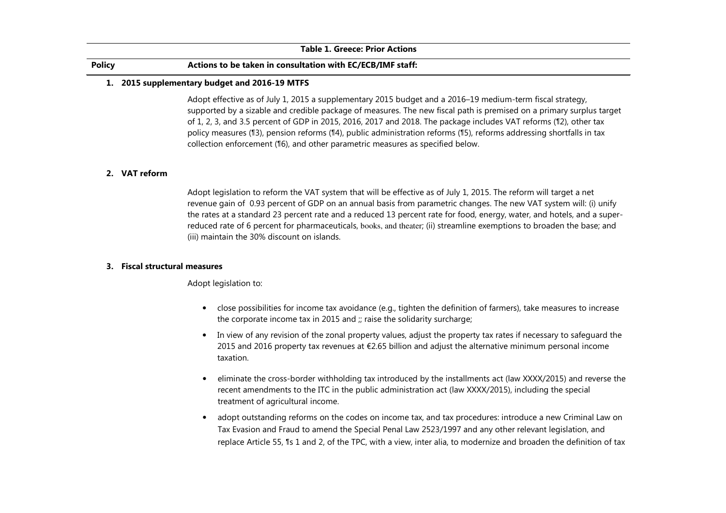#### Table 1. Greece: Prior Actions

# Policy Actions to be taken in consultation with EC/ECB/IMF staff:

#### 1. 2015 supplementary budget and 2016-19 MTFS

Adopt effective as of July 1, 2015 a supplementary 2015 budget and a 2016–19 medium-term fiscal strategy, supported by a sizable and credible package of measures. The new fiscal path is premised on a primary surplus target of 1, 2, 3, and 3.5 percent of GDP in 2015, 2016, 2017 and 2018. The package includes VAT reforms (¶2), other tax policy measures (¶3), pension reforms (¶4), public administration reforms (¶5), reforms addressing shortfalls in tax collection enforcement (¶6), and other parametric measures as specified below.

# 2. VAT reform

 Adopt legislation to reform the VAT system that will be effective as of July 1, 2015. The reform will target a net revenue gain of 0.93 percent of GDP on an annual basis from parametric changes. The new VAT system will: (i) unify the rates at a standard 23 percent rate and a reduced 13 percent rate for food, energy, water, and hotels, and a superreduced rate of 6 percent for pharmaceuticals, books, and theater; (ii) streamline exemptions to broaden the base; and (iii) maintain the 30% discount on islands.

### 3. Fiscal structural measures

Adopt legislation to:

- close possibilities for income tax avoidance (e.g., tighten the definition of farmers), take measures to increase the corporate income tax in 2015 and ;; raise the solidarity surcharge;
- In view of any revision of the zonal property values, adjust the property tax rates if necessary to safeguard the 2015 and 2016 property tax revenues at €2.65 billion and adjust the alternative minimum personal income taxation.
- eliminate the cross-border withholding tax introduced by the installments act (law XXXX/2015) and reverse the recent amendments to the ITC in the public administration act (law XXXX/2015), including the special treatment of agricultural income.
- adopt outstanding reforms on the codes on income tax, and tax procedures: introduce a new Criminal Law on Tax Evasion and Fraud to amend the Special Penal Law 2523/1997 and any other relevant legislation, andreplace Article 55, ¶s 1 and 2, of the TPC, with a view, inter alia, to modernize and broaden the definition of tax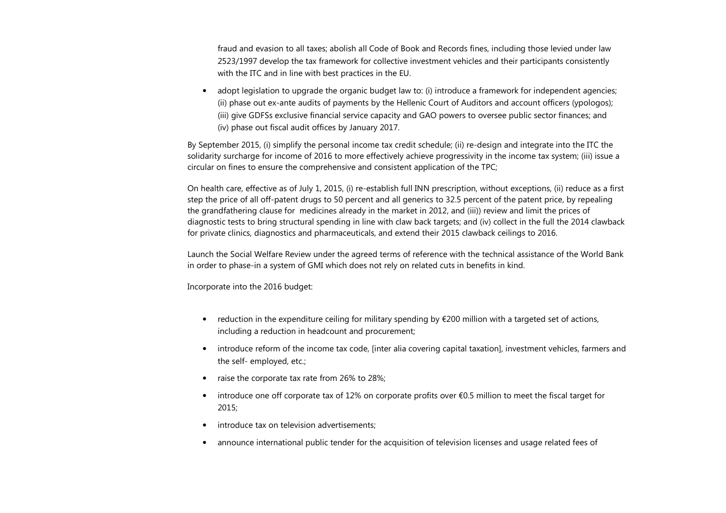fraud and evasion to all taxes; abolish all Code of Book and Records fines, including those levied under law 2523/1997 develop the tax framework for collective investment vehicles and their participants consistently with the ITC and in line with best practices in the EU.

• adopt legislation to upgrade the organic budget law to: (i) introduce a framework for independent agencies; (ii) phase out ex-ante audits of payments by the Hellenic Court of Auditors and account officers (ypologos); (iii) give GDFSs exclusive financial service capacity and GAO powers to oversee public sector finances; and (iv) phase out fiscal audit offices by January 2017.

By September 2015, (i) simplify the personal income tax credit schedule; (ii) re-design and integrate into the ITC the solidarity surcharge for income of 2016 to more effectively achieve progressivity in the income tax system; (iii) issue a circular on fines to ensure the comprehensive and consistent application of the TPC;

On health care, effective as of July 1, 2015, (i) re-establish full INN prescription, without exceptions, (ii) reduce as a first step the price of all off-patent drugs to 50 percent and all generics to 32.5 percent of the patent price, by repealing the grandfathering clause for medicines already in the market in 2012, and (iii)) review and limit the prices of diagnostic tests to bring structural spending in line with claw back targets; and (iv) collect in the full the 2014 clawback for private clinics, diagnostics and pharmaceuticals, and extend their 2015 clawback ceilings to 2016.

Launch the Social Welfare Review under the agreed terms of reference with the technical assistance of the World Bank in order to phase-in a system of GMI which does not rely on related cuts in benefits in kind.

Incorporate into the 2016 budget:

- reduction in the expenditure ceiling for military spending by €200 million with a targeted set of actions, including a reduction in headcount and procurement;
- introduce reform of the income tax code, [inter alia covering capital taxation], investment vehicles, farmers and the self- employed, etc.;
- raise the corporate tax rate from 26% to 28%;
- introduce one off corporate tax of 12% on corporate profits over €0.5 million to meet the fiscal target for 2015;
- •introduce tax on television advertisements;
- announce international public tender for the acquisition of television licenses and usage related fees of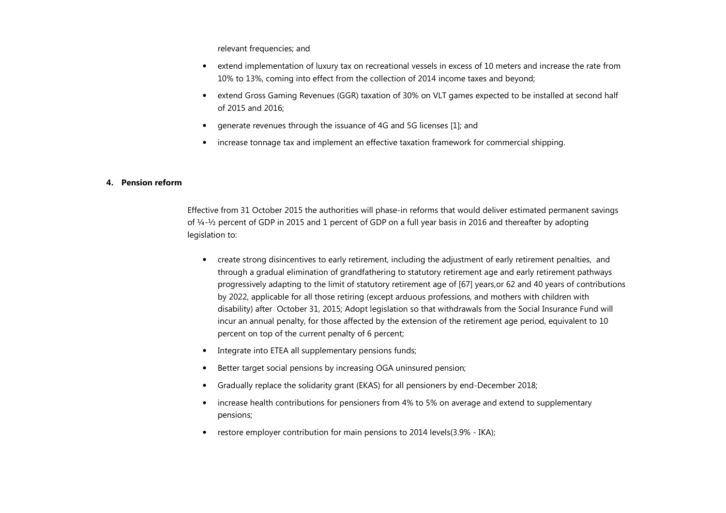relevant frequencies; and

- extend implementation of luxury tax on recreational vessels in excess of 10 meters and increase the rate from 10% to 13%, coming into effect from the collection of 2014 income taxes and beyond;
- extend Gross Gaming Revenues (GGR) taxation of 30% on VLT games expected to be installed at second half of 2015 and 2016;
- $\bullet$ generate revenues through the issuance of 4G and 5G licenses [1]; and
- increase tonnage tax and implement an effective taxation framework for commercial shipping.

### 4. Pension reform

Effective from 31 October 2015 the authorities will phase-in reforms that would deliver estimated permanent savings of ¼-½ percent of GDP in 2015 and 1 percent of GDP on a full year basis in 2016 and thereafter by adopting legislation to:

- create strong disincentives to early retirement, including the adjustment of early retirement penalties, and through a gradual elimination of grandfathering to statutory retirement age and early retirement pathways progressively adapting to the limit of statutory retirement age of [67] years,or 62 and 40 years of contributions by 2022, applicable for all those retiring (except arduous professions, and mothers with children with disability) after October 31, 2015; Adopt legislation so that withdrawals from the Social Insurance Fund will incur an annual penalty, for those affected by the extension of the retirement age period, equivalent to 10 percent on top of the current penalty of 6 percent;
- •Integrate into ETEA all supplementary pensions funds;
- •Better target social pensions by increasing OGA uninsured pension;
- •Gradually replace the solidarity grant (EKAS) for all pensioners by end-December 2018;
- • increase health contributions for pensioners from 4% to 5% on average and extend to supplementary pensions;
- restore employer contribution for main pensions to 2014 levels(3.9% IKA);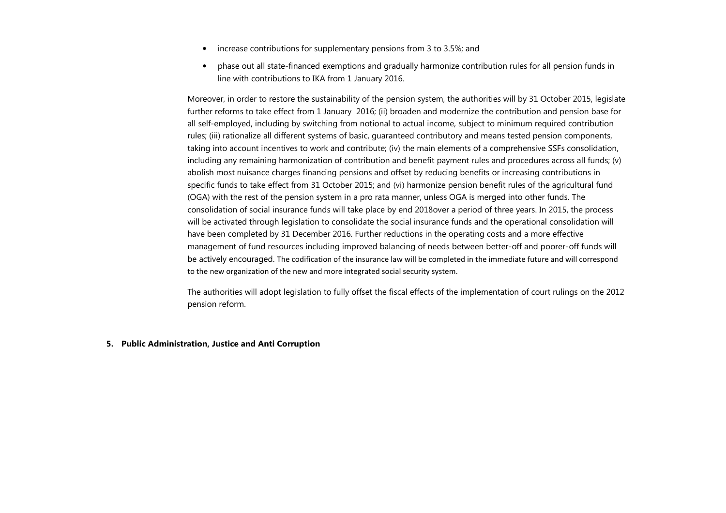- •increase contributions for supplementary pensions from 3 to 3.5%; and
- • <sup>p</sup>hase out all state-financed exemptions and gradually harmonize contribution rules for all pension funds in line with contributions to IKA from 1 January 2016.

Moreover, in order to restore the sustainability of the pension system, the authorities will by 31 October 2015, legislate further reforms to take effect from 1 January 2016; (ii) broaden and modernize the contribution and pension base for all self-employed, including by switching from notional to actual income, subject to minimum required contribution rules; (iii) rationalize all different systems of basic, guaranteed contributory and means tested pension components, taking into account incentives to work and contribute; (iv) the main elements of a comprehensive SSFs consolidation, including any remaining harmonization of contribution and benefit payment rules and procedures across all funds; (v) abolish most nuisance charges financing pensions and offset by reducing benefits or increasing contributions in specific funds to take effect from 31 October 2015; and (vi) harmonize pension benefit rules of the agricultural fund (OGA) with the rest of the pension system in a pro rata manner, unless OGA is merged into other funds. The consolidation of social insurance funds will take place by end 2018over a period of three years. In 2015, the process will be activated through legislation to consolidate the social insurance funds and the operational consolidation will have been completed by 31 December 2016. Further reductions in the operating costs and a more effective management of fund resources including improved balancing of needs between better-off and poorer-off funds will be actively encouraged. The codification of the insurance law will be completed in the immediate future and will correspond to the new organization of the new and more integrated social security system.

The authorities will adopt legislation to fully offset the fiscal effects of the implementation of court rulings on the 2012 pension reform.

5. Public Administration, Justice and Anti Corruption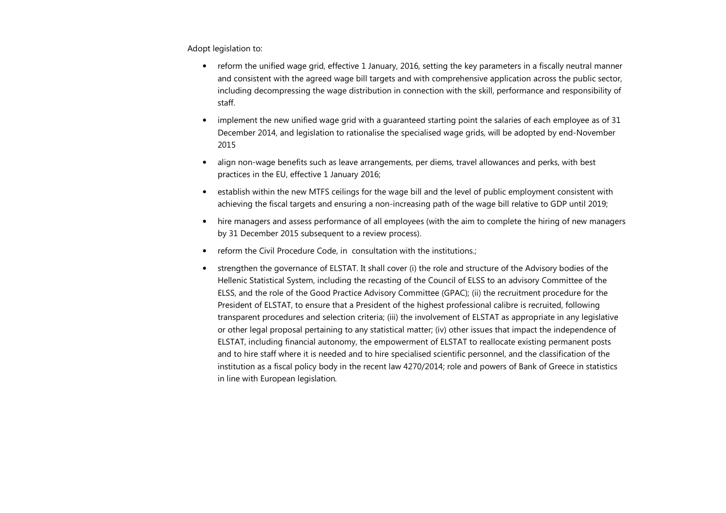Adopt legislation to:

- reform the unified wage grid, effective 1 January, 2016, setting the key parameters in a fiscally neutral manner and consistent with the agreed wage bill targets and with comprehensive application across the public sector, including decompressing the wage distribution in connection with the skill, performance and responsibility of staff.
- • implement the new unified wage grid with a guaranteed starting point the salaries of each employee as of 31 December 2014, and legislation to rationalise the specialised wage grids, will be adopted by end-November 2015
- • align non-wage benefits such as leave arrangements, per diems, travel allowances and perks, with best practices in the EU, effective 1 January 2016;
- establish within the new MTFS ceilings for the wage bill and the level of public employment consistent with achieving the fiscal targets and ensuring a non-increasing path of the wage bill relative to GDP until 2019;
- hire managers and assess performance of all employees (with the aim to complete the hiring of new managers by 31 December 2015 subsequent to a review process).
- reform the Civil Procedure Code, in consultation with the institutions.;
- strengthen the governance of ELSTAT. It shall cover (i) the role and structure of the Advisory bodies of the Hellenic Statistical System, including the recasting of the Council of ELSS to an advisory Committee of the ELSS, and the role of the Good Practice Advisory Committee (GPAC); (ii) the recruitment procedure for the President of ELSTAT, to ensure that a President of the highest professional calibre is recruited, following transparent procedures and selection criteria; (iii) the involvement of ELSTAT as appropriate in any legislative or other legal proposal pertaining to any statistical matter; (iv) other issues that impact the independence of ELSTAT, including financial autonomy, the empowerment of ELSTAT to reallocate existing permanent postsand to hire staff where it is needed and to hire specialised scientific personnel, and the classification of the institution as a fiscal policy body in the recent law 4270/2014; role and powers of Bank of Greece in statistics in line with European legislation.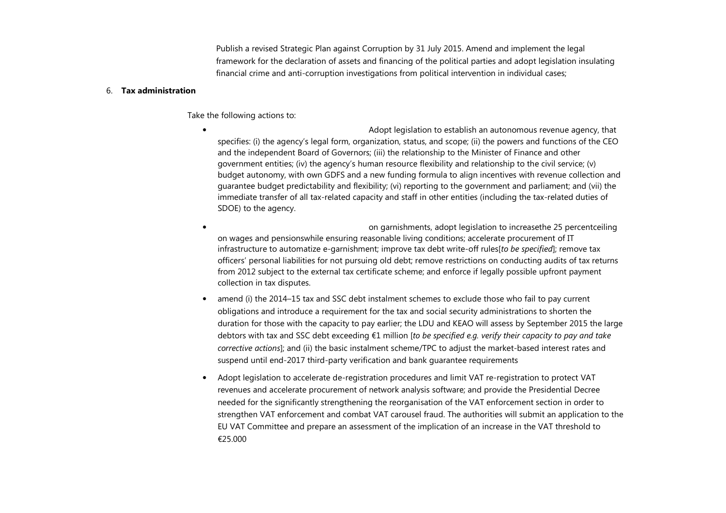Publish a revised Strategic Plan against Corruption by 31 July 2015. Amend and implement the legal framework for the declaration of assets and financing of the political parties and adopt legislation insulating financial crime and anti-corruption investigations from political intervention in individual cases;

#### 6. Tax administration

Take the following actions to:

- • Adopt legislation to establish an autonomous revenue agency, that specifies: (i) the agency's legal form, organization, status, and scope; (ii) the powers and functions of the CEO and the independent Board of Governors; (iii) the relationship to the Minister of Finance and other government entities; (iv) the agency's human resource flexibility and relationship to the civil service; (v) budget autonomy, with own GDFS and a new funding formula to align incentives with revenue collection and guarantee budget predictability and flexibility; (vi) reporting to the government and parliament; and (vii) the immediate transfer of all tax-related capacity and staff in other entities (including the tax-related duties of SDOE) to the agency.
- • on garnishments, adopt legislation to increasethe 25 percentceiling on wages and pensionswhile ensuring reasonable living conditions; accelerate procurement of IT infrastructure to automatize e-garnishment; improve tax debt write-off rules to be specified]; remove tax officers' personal liabilities for not pursuing old debt; remove restrictions on conducting audits of tax returns from 2012 subject to the external tax certificate scheme; and enforce if legally possible upfront payment collection in tax disputes.
- • amend (i) the 2014–15 tax and SSC debt instalment schemes to exclude those who fail to pay current obligations and introduce a requirement for the tax and social security administrations to shorten the duration for those with the capacity to pay earlier; the LDU and KEAO will assess by September 2015 the large debtors with tax and SSC debt exceeding €1 million [to be specified e.g. verify their capacity to pay and take corrective actions]; and (ii) the basic instalment scheme/TPC to adjust the market-based interest rates and suspend until end-2017 third-party verification and bank guarantee requirements
- • Adopt legislation to accelerate de-registration procedures and limit VAT re-registration to protect VAT revenues and accelerate procurement of network analysis software; and provide the Presidential Decree needed for the significantly strengthening the reorganisation of the VAT enforcement section in order to strengthen VAT enforcement and combat VAT carousel fraud. The authorities will submit an application to the EU VAT Committee and prepare an assessment of the implication of an increase in the VAT threshold to €25.000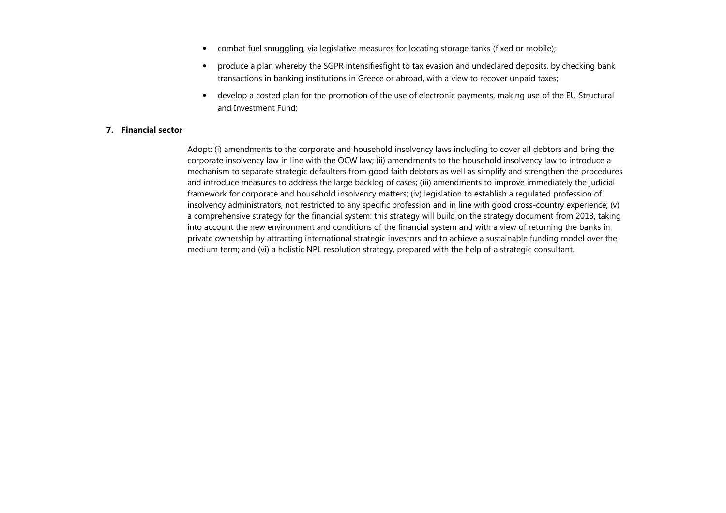- combat fuel smuggling, via legislative measures for locating storage tanks (fixed or mobile);
- • produce a plan whereby the SGPR intensifiesfight to tax evasion and undeclared deposits, by checking bank transactions in banking institutions in Greece or abroad, with a view to recover unpaid taxes;
- develop a costed plan for the promotion of the use of electronic payments, making use of the EU Structural and Investment Fund;

# 7. Financial sector

Adopt: (i) amendments to the corporate and household insolvency laws including to cover all debtors and bring the corporate insolvency law in line with the OCW law; (ii) amendments to the household insolvency law to introduce a mechanism to separate strategic defaulters from good faith debtors as well as simplify and strengthen the procedures and introduce measures to address the large backlog of cases; (iii) amendments to improve immediately the judicial framework for corporate and household insolvency matters; (iv) legislation to establish a regulated profession of insolvency administrators, not restricted to any specific profession and in line with good cross-country experience; (v) a comprehensive strategy for the financial system: this strategy will build on the strategy document from 2013, taking into account the new environment and conditions of the financial system and with a view of returning the banks in private ownership by attracting international strategic investors and to achieve a sustainable funding model over the medium term; and (vi) a holistic NPL resolution strategy, prepared with the help of a strategic consultant.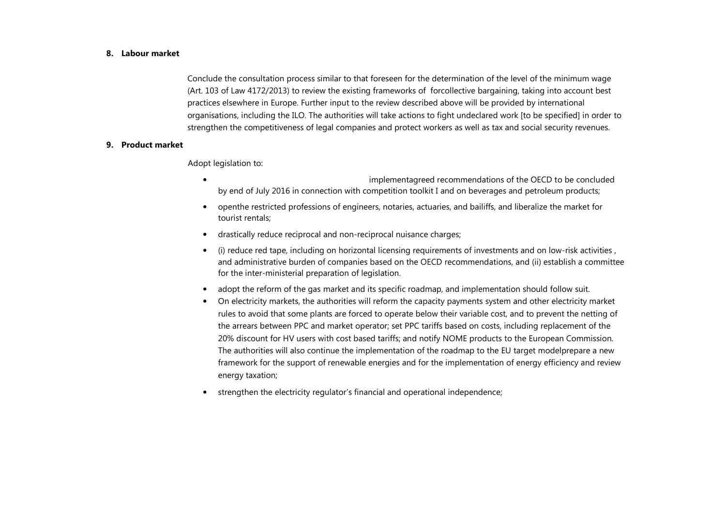#### 8. Labour market

Conclude the consultation process similar to that foreseen for the determination of the level of the minimum wage (Art. 103 of Law 4172/2013) to review the existing frameworks of forcollective bargaining, taking into account best practices elsewhere in Europe. Further input to the review described above will be provided by international organisations, including the ILO. The authorities will take actions to fight undeclared work [to be specified] in order to strengthen the competitiveness of legal companies and protect workers as well as tax and social security revenues.

#### 9. Product market

Adopt legislation to:

- • implementagreed recommendations of the OECD to be concluded by end of July 2016 in connection with competition toolkit I and on beverages and petroleum products;
- • openthe restricted professions of engineers, notaries, actuaries, and bailiffs, and liberalize the market for tourist rentals;
- •drastically reduce reciprocal and non-reciprocal nuisance charges;
- • (i) reduce red tape, including on horizontal licensing requirements of investments and on low-risk activities , and administrative burden of companies based on the OECD recommendations, and (ii) establish a committee for the inter-ministerial preparation of legislation.
- •adopt the reform of the gas market and its specific roadmap, and implementation should follow suit.
- $\bullet$  On electricity markets, the authorities will reform the capacity payments system and other electricity market rules to avoid that some plants are forced to operate below their variable cost, and to prevent the netting of the arrears between PPC and market operator; set PPC tariffs based on costs, including replacement of the 20% discount for HV users with cost based tariffs; and notify NOME products to the European Commission. The authorities will also continue the implementation of the roadmap to the EU target modelprepare a new framework for the support of renewable energies and for the implementation of energy efficiency and review energy taxation;
- •strengthen the electricity regulator's financial and operational independence;